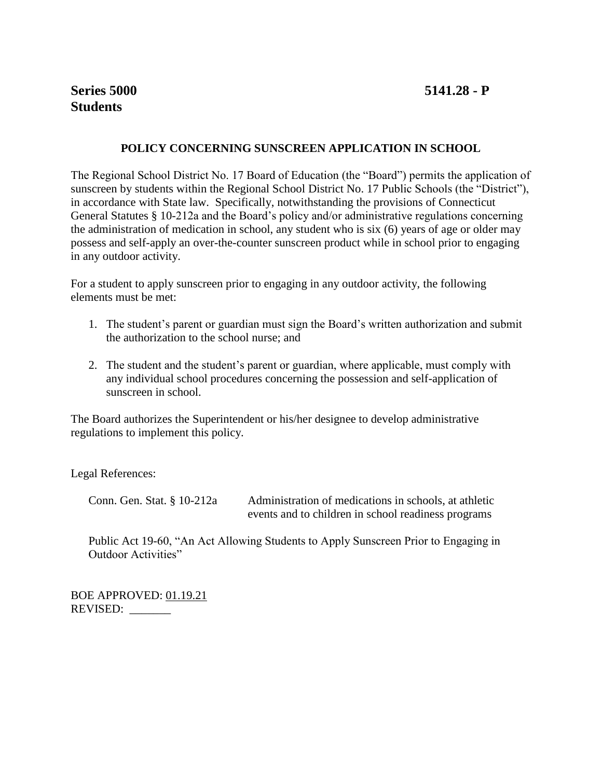# **POLICY CONCERNING SUNSCREEN APPLICATION IN SCHOOL**

The Regional School District No. 17 Board of Education (the "Board") permits the application of sunscreen by students within the Regional School District No. 17 Public Schools (the "District"), in accordance with State law. Specifically, notwithstanding the provisions of Connecticut General Statutes § 10-212a and the Board's policy and/or administrative regulations concerning the administration of medication in school, any student who is six (6) years of age or older may possess and self-apply an over-the-counter sunscreen product while in school prior to engaging in any outdoor activity.

For a student to apply sunscreen prior to engaging in any outdoor activity, the following elements must be met:

- 1. The student's parent or guardian must sign the Board's written authorization and submit the authorization to the school nurse; and
- 2. The student and the student's parent or guardian, where applicable, must comply with any individual school procedures concerning the possession and self-application of sunscreen in school.

The Board authorizes the Superintendent or his/her designee to develop administrative regulations to implement this policy.

Legal References:

Conn. Gen. Stat. § 10-212a Administration of medications in schools, at athletic events and to children in school readiness programs

Public Act 19-60, "An Act Allowing Students to Apply Sunscreen Prior to Engaging in Outdoor Activities"

BOE APPROVED: 01.19.21 REVISED: \_\_\_\_\_\_\_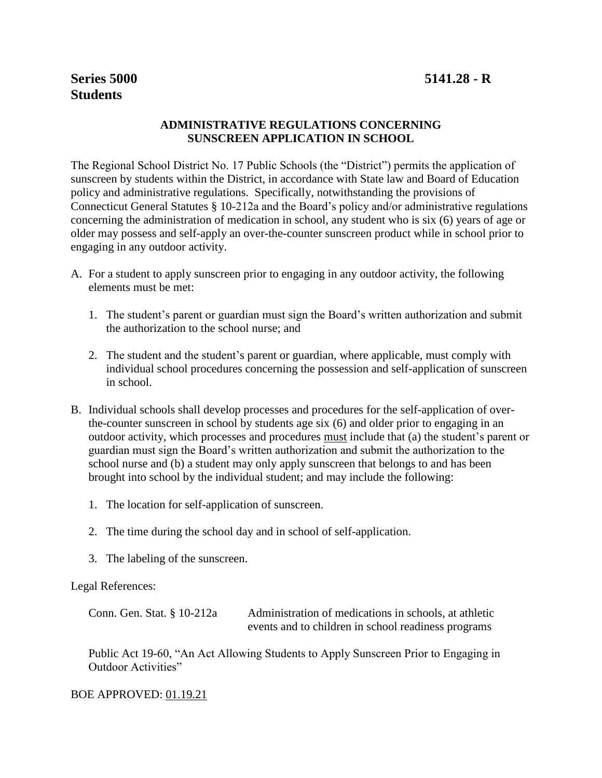# **ADMINISTRATIVE REGULATIONS CONCERNING SUNSCREEN APPLICATION IN SCHOOL**

The Regional School District No. 17 Public Schools (the "District") permits the application of sunscreen by students within the District, in accordance with State law and Board of Education policy and administrative regulations. Specifically, notwithstanding the provisions of Connecticut General Statutes § 10-212a and the Board's policy and/or administrative regulations concerning the administration of medication in school, any student who is six (6) years of age or older may possess and self-apply an over-the-counter sunscreen product while in school prior to engaging in any outdoor activity.

- A. For a student to apply sunscreen prior to engaging in any outdoor activity, the following elements must be met:
	- 1. The student's parent or guardian must sign the Board's written authorization and submit the authorization to the school nurse; and
	- 2. The student and the student's parent or guardian, where applicable, must comply with individual school procedures concerning the possession and self-application of sunscreen in school.
- B. Individual schools shall develop processes and procedures for the self-application of overthe-counter sunscreen in school by students age six (6) and older prior to engaging in an outdoor activity, which processes and procedures must include that (a) the student's parent or guardian must sign the Board's written authorization and submit the authorization to the school nurse and (b) a student may only apply sunscreen that belongs to and has been brought into school by the individual student; and may include the following:
	- 1. The location for self-application of sunscreen.
	- 2. The time during the school day and in school of self-application.
	- 3. The labeling of the sunscreen.

#### Legal References:

Conn. Gen. Stat. § 10-212a Administration of medications in schools, at athletic events and to children in school readiness programs

Public Act 19-60, "An Act Allowing Students to Apply Sunscreen Prior to Engaging in Outdoor Activities"

BOE APPROVED: 01.19.21